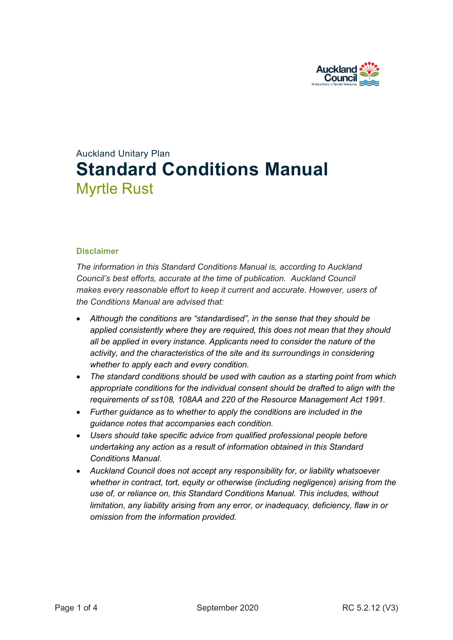

# Auckland Unitary Plan **Standard Conditions Manual** Myrtle Rust

#### **Disclaimer**

*The information in this Standard Conditions Manual is, according to Auckland Council's best efforts, accurate at the time of publication. Auckland Council makes every reasonable effort to keep it current and accurate. However, users of the Conditions Manual are advised that:* 

- *Although the conditions are "standardised", in the sense that they should be applied consistently where they are required, this does not mean that they should all be applied in every instance. Applicants need to consider the nature of the activity, and the characteristics of the site and its surroundings in considering whether to apply each and every condition.*
- *The standard conditions should be used with caution as a starting point from which appropriate conditions for the individual consent should be drafted to align with the requirements of ss108, 108AA and 220 of the Resource Management Act 1991.*
- *Further guidance as to whether to apply the conditions are included in the guidance notes that accompanies each condition.*
- *Users should take specific advice from qualified professional people before undertaking any action as a result of information obtained in this Standard Conditions Manual.*
- *Auckland Council does not accept any responsibility for, or liability whatsoever whether in contract, tort, equity or otherwise (including negligence) arising from the use of, or reliance on, this Standard Conditions Manual. This includes, without limitation, any liability arising from any error, or inadequacy, deficiency, flaw in or omission from the information provided.*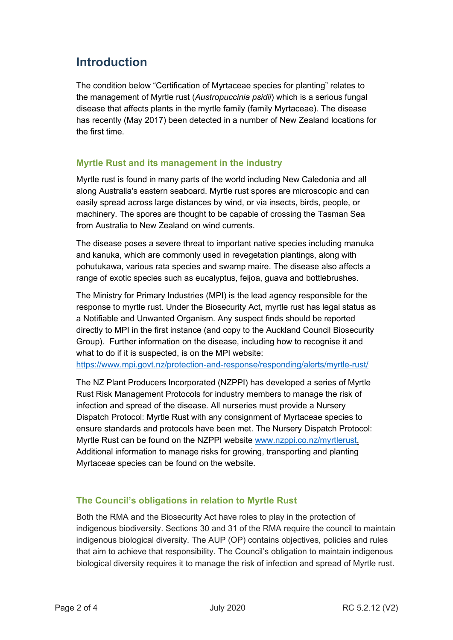# **Introduction**

The condition below "Certification of Myrtaceae species for planting" relates to the management of Myrtle rust (*Austropuccinia psidii*) which is a serious fungal disease that affects plants in the myrtle family (family Myrtaceae). The disease has recently (May 2017) been detected in a number of New Zealand locations for the first time.

## **Myrtle Rust and its management in the industry**

Myrtle rust is found in many parts of the world including New Caledonia and all along Australia's eastern seaboard. Myrtle rust spores are microscopic and can easily spread across large distances by wind, or via insects, birds, people, or machinery. The spores are thought to be capable of crossing the Tasman Sea from Australia to New Zealand on wind currents.

The disease poses a severe threat to important native species including manuka and kanuka, which are commonly used in revegetation plantings, along with pohutukawa, various rata species and swamp maire. The disease also affects a range of exotic species such as eucalyptus, feijoa, guava and bottlebrushes.

The Ministry for Primary Industries (MPI) is the lead agency responsible for the response to myrtle rust. Under the Biosecurity Act, myrtle rust has legal status as a Notifiable and Unwanted Organism. Any suspect finds should be reported directly to MPI in the first instance (and copy to the Auckland Council Biosecurity Group). Further information on the disease, including how to recognise it and what to do if it is suspected, is on the MPI website:

<https://www.mpi.govt.nz/protection-and-response/responding/alerts/myrtle-rust/>

The NZ Plant Producers Incorporated (NZPPI) has developed a series of Myrtle Rust Risk Management Protocols for industry members to manage the risk of infection and spread of the disease. All nurseries must provide a Nursery Dispatch Protocol: Myrtle Rust with any consignment of Myrtaceae species to ensure standards and protocols have been met. The Nursery Dispatch Protocol: Myrtle Rust can be found on the NZPPI website [www.nzppi.co.nz/myrtlerust.](http://www.nzppi.co.nz/myrtlerust) Additional information to manage risks for growing, transporting and planting Myrtaceae species can be found on the website.

## **The Council's obligations in relation to Myrtle Rust**

Both the RMA and the Biosecurity Act have roles to play in the protection of indigenous biodiversity. Sections 30 and 31 of the RMA require the council to maintain indigenous biological diversity. The AUP (OP) contains objectives, policies and rules that aim to achieve that responsibility. The Council's obligation to maintain indigenous biological diversity requires it to manage the risk of infection and spread of Myrtle rust.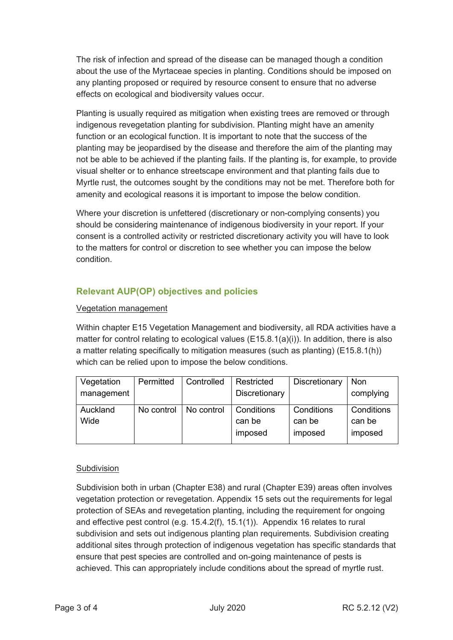The risk of infection and spread of the disease can be managed though a condition about the use of the Myrtaceae species in planting. Conditions should be imposed on any planting proposed or required by resource consent to ensure that no adverse effects on ecological and biodiversity values occur.

Planting is usually required as mitigation when existing trees are removed or through indigenous revegetation planting for subdivision. Planting might have an amenity function or an ecological function. It is important to note that the success of the planting may be jeopardised by the disease and therefore the aim of the planting may not be able to be achieved if the planting fails. If the planting is, for example, to provide visual shelter or to enhance streetscape environment and that planting fails due to Myrtle rust, the outcomes sought by the conditions may not be met. Therefore both for amenity and ecological reasons it is important to impose the below condition.

Where your discretion is unfettered (discretionary or non-complying consents) you should be considering maintenance of indigenous biodiversity in your report. If your consent is a controlled activity or restricted discretionary activity you will have to look to the matters for control or discretion to see whether you can impose the below condition.

# **Relevant AUP(OP) objectives and policies**

#### Vegetation management

Within chapter E15 Vegetation Management and biodiversity, all RDA activities have a matter for control relating to ecological values (E15.8.1(a)(i)). In addition, there is also a matter relating specifically to mitigation measures (such as planting) (E15.8.1(h)) which can be relied upon to impose the below conditions.

| Vegetation<br>management | Permitted  | Controlled | Restricted<br>Discretionary     | Discretionary                   | Non<br>complying                |
|--------------------------|------------|------------|---------------------------------|---------------------------------|---------------------------------|
| Auckland<br>Wide         | No control | No control | Conditions<br>can be<br>imposed | Conditions<br>can be<br>imposed | Conditions<br>can be<br>imposed |

#### Subdivision

Subdivision both in urban (Chapter E38) and rural (Chapter E39) areas often involves vegetation protection or revegetation. Appendix 15 sets out the requirements for legal protection of SEAs and revegetation planting, including the requirement for ongoing and effective pest control (e.g. 15.4.2(f), 15.1(1)). Appendix 16 relates to rural subdivision and sets out indigenous planting plan requirements. Subdivision creating additional sites through protection of indigenous vegetation has specific standards that ensure that pest species are controlled and on-going maintenance of pests is achieved. This can appropriately include conditions about the spread of myrtle rust.